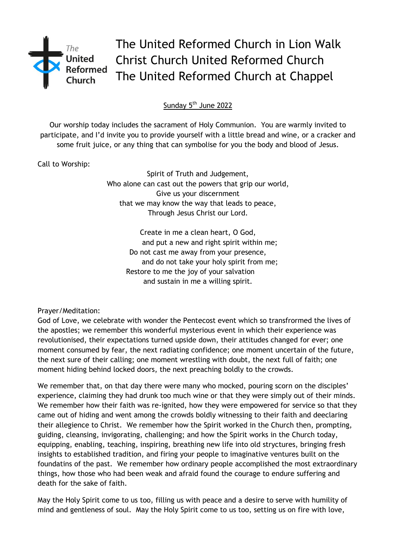

The United Reformed Church in Lion Walk Christ Church United Reformed Church The United Reformed Church at Chappel

Sunday 5<sup>th</sup> June 2022

Our worship today includes the sacrament of Holy Communion. You are warmly invited to participate, and I'd invite you to provide yourself with a little bread and wine, or a cracker and some fruit juice, or any thing that can symbolise for you the body and blood of Jesus.

Call to Worship:

Spirit of Truth and Judgement, Who alone can cast out the powers that grip our world, Give us your discernment that we may know the way that leads to peace, Through Jesus Christ our Lord.

> Create in me a clean heart, O God, and put a new and right spirit within me; Do not cast me away from your presence, and do not take your holy spirit from me; Restore to me the joy of your salvation and sustain in me a willing spirit.

Prayer/Meditation:

God of Love, we celebrate with wonder the Pentecost event which so transfrormed the lives of the apostles; we remember this wonderful mysterious event in which their experience was revolutionised, their expectations turned upside down, their attitudes changed for ever; one moment consumed by fear, the next radiating confidence; one moment uncertain of the future, the next sure of their calling; one moment wrestling with doubt, the next full of faith; one moment hiding behind locked doors, the next preaching boldly to the crowds.

We remember that, on that day there were many who mocked, pouring scorn on the disciples' experience, claiming they had drunk too much wine or that they were simply out of their minds. We remember how their faith was re-ignited, how they were empowered for service so that they came out of hiding and went among the crowds boldly witnessing to their faith and deeclaring their allegience to Christ. We remember how the Spirit worked in the Church then, prompting, guiding, cleansing, invigorating, challenging; and how the Spirit works in the Church today, equipping, enabling, teaching, inspiring, breathing new life into old stryctures, bringing fresh insights to established tradition, and firing your people to imaginative ventures built on the foundatins of the past. We remember how ordinary people accomplished the most extraordinary things, how those who had been weak and afraid found the courage to endure suffering and death for the sake of faith.

May the Holy Spirit come to us too, filling us with peace and a desire to serve with humility of mind and gentleness of soul. May the Holy Spirit come to us too, setting us on fire with love,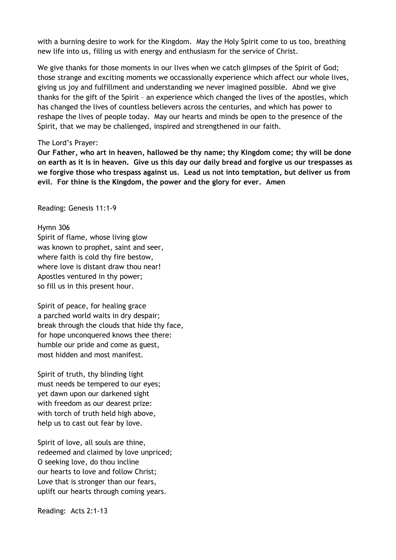with a burning desire to work for the Kingdom. May the Holy Spirit come to us too, breathing new life into us, filling us with energy and enthusiasm for the service of Christ.

We give thanks for those moments in our lives when we catch glimpses of the Spirit of God; those strange and exciting moments we occassionally experience which affect our whole lives, giving us joy and fulfillment and understanding we never imagined possible. Abnd we give thanks for the gift of the Spirit – an experience which changed the lives of the apostles, which has changed the lives of countless believers across the centuries, and which has power to reshape the lives of people today. May our hearts and minds be open to the presence of the Spirit, that we may be challenged, inspired and strengthened in our faith.

## The Lord's Prayer:

**Our Father, who art in heaven, hallowed be thy name; thy Kingdom come; thy will be done on earth as it is in heaven. Give us this day our daily bread and forgive us our trespasses as we forgive those who trespass against us. Lead us not into temptation, but deliver us from evil. For thine is the Kingdom, the power and the glory for ever. Amen** 

Reading: Genesis 11:1-9

## Hymn 306

Spirit of flame, whose living glow was known to prophet, saint and seer, where faith is cold thy fire bestow, where love is distant draw thou near! Apostles ventured in thy power; so fill us in this present hour.

Spirit of peace, for healing grace a parched world waits in dry despair; break through the clouds that hide thy face, for hope unconquered knows thee there: humble our pride and come as guest, most hidden and most manifest.

Spirit of truth, thy blinding light must needs be tempered to our eyes; yet dawn upon our darkened sight with freedom as our dearest prize: with torch of truth held high above, help us to cast out fear by love.

Spirit of love, all souls are thine, redeemed and claimed by love unpriced; O seeking love, do thou incline our hearts to love and follow Christ; Love that is stronger than our fears, uplift our hearts through coming years.

Reading: Acts 2:1-13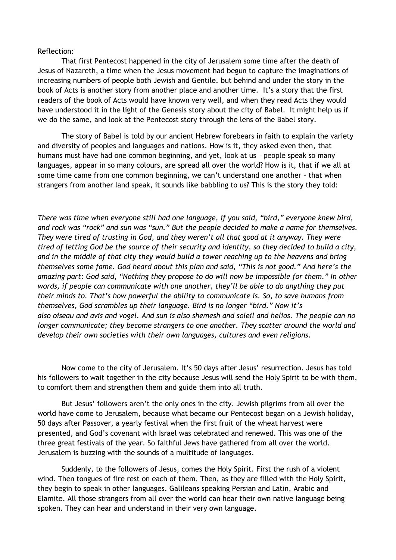## Reflection:

That first Pentecost happened in the city of Jerusalem some time after the death of Jesus of Nazareth, a time when the Jesus movement had begun to capture the imaginations of increasing numbers of people both Jewish and Gentile. but behind and under the story in the book of Acts is another story from another place and another time. It's a story that the first readers of the book of Acts would have known very well, and when they read Acts they would have understood it in the light of the Genesis story about the city of Babel. It might help us if we do the same, and look at the Pentecost story through the lens of the Babel story.

The story of Babel is told by our ancient Hebrew forebears in faith to explain the variety and diversity of peoples and languages and nations. How is it, they asked even then, that humans must have had one common beginning, and yet, look at us – people speak so many languages, appear in so many colours, are spread all over the world? How is it, that if we all at some time came from one common beginning, we can't understand one another – that when strangers from another land speak, it sounds like babbling to us? This is the story they told:

*There was time when everyone still had one language, if you said, "bird," everyone knew bird, and rock was "rock" and sun was "sun." But the people decided to make a name for themselves. They were tired of trusting in God, and they weren't all that good at it anyway. They were tired of letting God be the source of their security and identity, so they decided to build a city, and in the middle of that city they would build a tower reaching up to the heavens and bring themselves some fame. God heard about this plan and said, "This is not good." And here's the amazing part: God said, "Nothing they propose to do will now be impossible for them." In other words, if people can communicate with one another, they'll be able to do anything they put their minds to. That's how powerful the ability to communicate is. So, to save humans from themselves, God scrambles up their language. Bird is no longer "bird." Now it's also oiseau and avis and vogel. And sun is also shemesh and soleil and helios. The people can no longer communicate; they become strangers to one another. They scatter around the world and develop their own societies with their own languages, cultures and even religions.*

Now come to the city of Jerusalem. It's 50 days after Jesus' resurrection. Jesus has told his followers to wait together in the city because Jesus will send the Holy Spirit to be with them, to comfort them and strengthen them and guide them into all truth.

But Jesus' followers aren't the only ones in the city. Jewish pilgrims from all over the world have come to Jerusalem, because what became our Pentecost began on a Jewish holiday, 50 days after Passover, a yearly festival when the first fruit of the wheat harvest were presented, and God's covenant with Israel was celebrated and renewed. This was one of the three great festivals of the year. So faithful Jews have gathered from all over the world. Jerusalem is buzzing with the sounds of a multitude of languages.

Suddenly, to the followers of Jesus, comes the Holy Spirit. First the rush of a violent wind. Then tongues of fire rest on each of them. Then, as they are filled with the Holy Spirit, they begin to speak in other languages. Galileans speaking Persian and Latin, Arabic and Elamite. All those strangers from all over the world can hear their own native language being spoken. They can hear and understand in their very own language.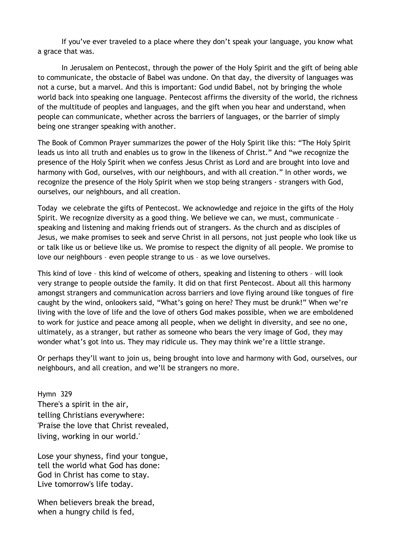If you've ever traveled to a place where they don't speak your language, you know what a grace that was.

In Jerusalem on Pentecost, through the power of the Holy Spirit and the gift of being able to communicate, the obstacle of Babel was undone. On that day, the diversity of languages was not a curse, but a marvel. And this is important: God undid Babel, not by bringing the whole world back into speaking one language. Pentecost affirms the diversity of the world, the richness of the multitude of peoples and languages, and the gift when you hear and understand, when people can communicate, whether across the barriers of languages, or the barrier of simply being one stranger speaking with another.

The Book of Common Prayer summarizes the power of the Holy Spirit like this: "The Holy Spirit leads us into all truth and enables us to grow in the likeness of Christ." And "we recognize the presence of the Holy Spirit when we confess Jesus Christ as Lord and are brought into love and harmony with God, ourselves, with our neighbours, and with all creation." In other words, we recognize the presence of the Holy Spirit when we stop being strangers - strangers with God, ourselves, our neighbours, and all creation.

Today we celebrate the gifts of Pentecost. We acknowledge and rejoice in the gifts of the Holy Spirit. We recognize diversity as a good thing. We believe we can, we must, communicate – speaking and listening and making friends out of strangers. As the church and as disciples of Jesus, we make promises to seek and serve Christ in all persons, not just people who look like us or talk like us or believe like us. We promise to respect the dignity of all people. We promise to love our neighbours – even people strange to us – as we love ourselves.

This kind of love – this kind of welcome of others, speaking and listening to others – will look very strange to people outside the family. It did on that first Pentecost. About all this harmony amongst strangers and communication across barriers and love flying around like tongues of fire caught by the wind, onlookers said, "What's going on here? They must be drunk!" When we're living with the love of life and the love of others God makes possible, when we are emboldened to work for justice and peace among all people, when we delight in diversity, and see no one, ultimately, as a stranger, but rather as someone who bears the very image of God, they may wonder what's got into us. They may ridicule us. They may think we're a little strange.

Or perhaps they'll want to join us, being brought into love and harmony with God, ourselves, our neighbours, and all creation, and we'll be strangers no more.

Hymn 329 There's a spirit in the air, telling Christians everywhere: 'Praise the love that Christ revealed, living, working in our world.'

Lose your shyness, find your tongue, tell the world what God has done: God in Christ has come to stay. Live tomorrow's life today.

When believers break the bread, when a hungry child is fed,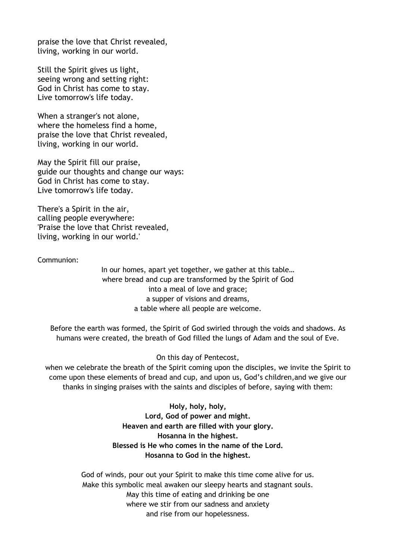praise the love that Christ revealed, living, working in our world.

Still the Spirit gives us light, seeing wrong and setting right: God in Christ has come to stay. Live tomorrow's life today.

When a stranger's not alone, where the homeless find a home, praise the love that Christ revealed, living, working in our world.

May the Spirit fill our praise, guide our thoughts and change our ways: God in Christ has come to stay. Live tomorrow's life today.

There's a Spirit in the air, calling people everywhere: 'Praise the love that Christ revealed, living, working in our world.'

Communion:

In our homes, apart yet together, we gather at this table… where bread and cup are transformed by the Spirit of God into a meal of love and grace; a supper of visions and dreams, a table where all people are welcome.

Before the earth was formed, the Spirit of God swirled through the voids and shadows. As humans were created, the breath of God filled the lungs of Adam and the soul of Eve.

On this day of Pentecost,

when we celebrate the breath of the Spirit coming upon the disciples, we invite the Spirit to come upon these elements of bread and cup, and upon us, God's children,and we give our thanks in singing praises with the saints and disciples of before, saying with them:

> **Holy, holy, holy, Lord, God of power and might. Heaven and earth are filled with your glory. Hosanna in the highest. Blessed is He who comes in the name of the Lord. Hosanna to God in the highest.**

God of winds, pour out your Spirit to make this time come alive for us. Make this symbolic meal awaken our sleepy hearts and stagnant souls. May this time of eating and drinking be one where we stir from our sadness and anxiety and rise from our hopelessness.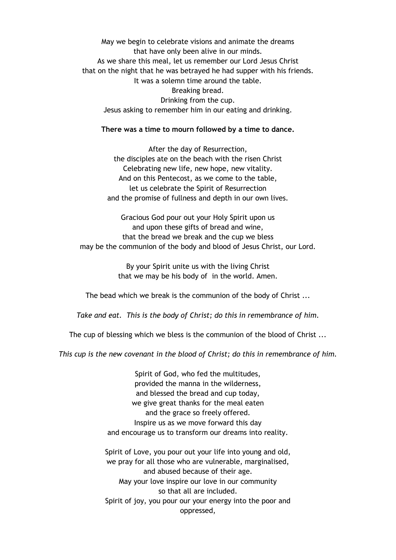May we begin to celebrate visions and animate the dreams that have only been alive in our minds. As we share this meal, let us remember our Lord Jesus Christ that on the night that he was betrayed he had supper with his friends. It was a solemn time around the table. Breaking bread. Drinking from the cup. Jesus asking to remember him in our eating and drinking.

## **There was a time to mourn followed by a time to dance.**

After the day of Resurrection, the disciples ate on the beach with the risen Christ Celebrating new life, new hope, new vitality. And on this Pentecost, as we come to the table, let us celebrate the Spirit of Resurrection and the promise of fullness and depth in our own lives.

Gracious God pour out your Holy Spirit upon us and upon these gifts of bread and wine, that the bread we break and the cup we bless may be the communion of the body and blood of Jesus Christ, our Lord.

> By your Spirit unite us with the living Christ that we may be his body of in the world. Amen.

The bead which we break is the communion of the body of Christ ...

*Take and eat. This is the body of Christ; do this in remembrance of him.*

The cup of blessing which we bless is the communion of the blood of Christ ...

*This cup is the new covenant in the blood of Christ; do this in remembrance of him.*

Spirit of God, who fed the multitudes, provided the manna in the wilderness, and blessed the bread and cup today, we give great thanks for the meal eaten and the grace so freely offered. Inspire us as we move forward this day and encourage us to transform our dreams into reality.

Spirit of Love, you pour out your life into young and old, we pray for all those who are vulnerable, marginalised, and abused because of their age. May your love inspire our love in our community so that all are included. Spirit of joy, you pour our your energy into the poor and oppressed,